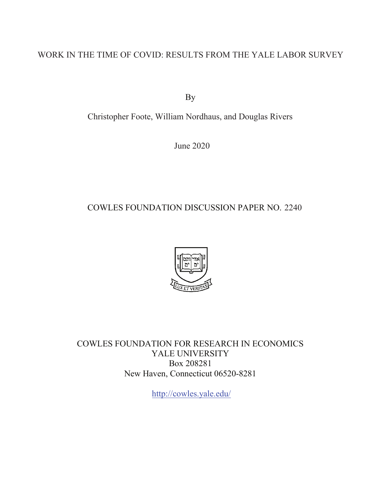## WORK IN THE TIME OF COVID: RESULTS FROM THE YALE LABOR SURVEY

By

Christopher Foote, William Nordhaus, and Douglas Rivers

June 2020

# COWLES FOUNDATION DISCUSSION PAPER NO. 2240



COWLES FOUNDATION FOR RESEARCH IN ECONOMICS YALE UNIVERSITY Box 208281 New Haven, Connecticut 06520-8281

<http://cowles.yale.edu>/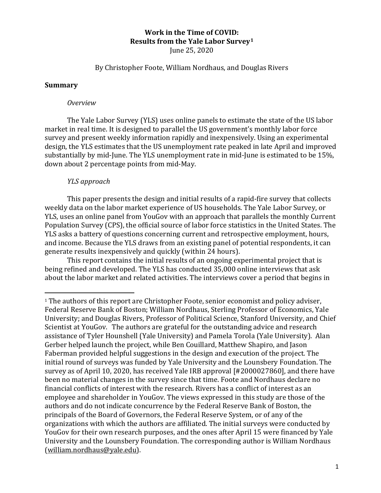### **Work in the Time of COVID: Results from the Yale Labor Survey[1](#page-1-0)** June 25, 2020

By Christopher Foote, William Nordhaus, and Douglas Rivers

### **Summary**

 $\overline{a}$ 

#### *Overview*

The Yale Labor Survey (YLS) uses online panels to estimate the state of the US labor market in real time. It is designed to parallel the US government's monthly labor force survey and present weekly information rapidly and inexpensively. Using an experimental design, the YLS estimates that the US unemployment rate peaked in late April and improved substantially by mid-June. The YLS unemployment rate in mid-June is estimated to be 15%, down about 2 percentage points from mid-May.

### *YLS approach*

This paper presents the design and initial results of a rapid-fire survey that collects weekly data on the labor market experience of US households. The Yale Labor Survey, or YLS, uses an online panel from YouGov with an approach that parallels the monthly Current Population Survey (CPS), the official source of labor force statistics in the United States. The YLS asks a battery of questions concerning current and retrospective employment, hours, and income. Because the YLS draws from an existing panel of potential respondents, it can generate results inexpensively and quickly (within 24 hours).

This report contains the initial results of an ongoing experimental project that is being refined and developed. The YLS has conducted 35,000 online interviews that ask about the labor market and related activities. The interviews cover a period that begins in

<span id="page-1-0"></span><sup>&</sup>lt;sup>1</sup> The authors of this report are Christopher Foote, senior economist and policy adviser, Federal Reserve Bank of Boston; William Nordhaus, Sterling Professor of Economics, Yale University; and Douglas Rivers, Professor of Political Science, Stanford University, and Chief Scientist at YouGov. The authors are grateful for the outstanding advice and research assistance of Tyler Hounshell (Yale University) and Pamela Torola (Yale University). Alan Gerber helped launch the project, while Ben Couillard, Matthew Shapiro, and Jason Faberman provided helpful suggestions in the design and execution of the project. The initial round of surveys was funded by Yale University and the Lounsbery Foundation. The survey as of April 10, 2020, has received Yale IRB approval [#2000027860], and there have been no material changes in the survey since that time. Foote and Nordhaus declare no financial conflicts of interest with the research. Rivers has a conflict of interest as an employee and shareholder in YouGov. The views expressed in this study are those of the authors and do not indicate concurrence by the Federal Reserve Bank of Boston, the principals of the Board of Governors, the Federal Reserve System, or of any of the organizations with which the authors are affiliated. The initial surveys were conducted by YouGov for their own research purposes, and the ones after April 15 were financed by Yale University and the Lounsbery Foundation. The corresponding author is William Nordhaus [\(william.nordhaus@yale.edu\)](mailto:william.nordhaus@yale.edu).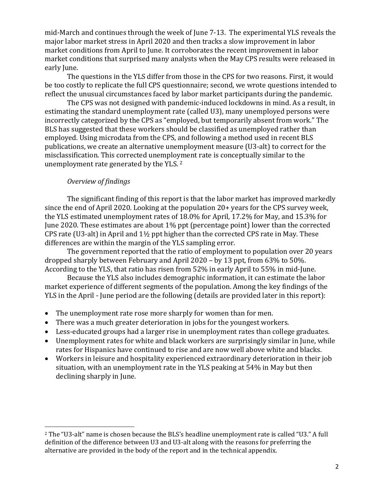mid-March and continues through the week of June 7-13. The experimental YLS reveals the major labor market stress in April 2020 and then tracks a slow improvement in labor market conditions from April to June. It corroborates the recent improvement in labor market conditions that surprised many analysts when the May CPS results were released in early June.

The questions in the YLS differ from those in the CPS for two reasons. First, it would be too costly to replicate the full CPS questionnaire; second, we wrote questions intended to reflect the unusual circumstances faced by labor market participants during the pandemic.

The CPS was not designed with pandemic-induced lockdowns in mind. As a result, in estimating the standard unemployment rate (called U3), many unemployed persons were incorrectly categorized by the CPS as "employed, but temporarily absent from work." The BLS has suggested that these workers should be classified as unemployed rather than employed. Using microdata from the CPS, and following a method used in recent BLS publications, we create an alternative unemployment measure (U3-alt) to correct for the misclassification. This corrected unemplo[ym](#page-2-0)ent rate is conceptually similar to the unemployment rate generated by the YLS. <sup>2</sup>

### *Overview of findings*

l

The significant finding of this report is that the labor market has improved markedly since the end of April 2020. Looking at the population 20+ years for the CPS survey week, the YLS estimated unemployment rates of 18.0% for April, 17.2% for May, and 15.3% for June 2020. These estimates are about 1% ppt (percentage point) lower than the corrected CPS rate (U3-alt) in April and 1½ ppt higher than the corrected CPS rate in May. These differences are within the margin of the YLS sampling error.

The government reported that the ratio of employment to population over 20 years dropped sharply between February and April 2020 – by 13 ppt, from 63% to 50%. According to the YLS, that ratio has risen from 52% in early April to 55% in mid-June.

Because the YLS also includes demographic information, it can estimate the labor market experience of different segments of the population. Among the key findings of the YLS in the April - June period are the following (details are provided later in this report):

- The unemployment rate rose more sharply for women than for men.
- There was a much greater deterioration in jobs for the youngest workers.
- Less-educated groups had a larger rise in unemployment rates than college graduates.
- Unemployment rates for white and black workers are surprisingly similar in June, while rates for Hispanics have continued to rise and are now well above white and blacks.
- Workers in leisure and hospitality experienced extraordinary deterioration in their job situation, with an unemployment rate in the YLS peaking at 54% in May but then declining sharply in June.

<span id="page-2-0"></span><sup>2</sup> The "U3-alt" name is chosen because the BLS's headline unemployment rate is called "U3." A full definition of the difference between U3 and U3-alt along with the reasons for preferring the alternative are provided in the body of the report and in the technical appendix.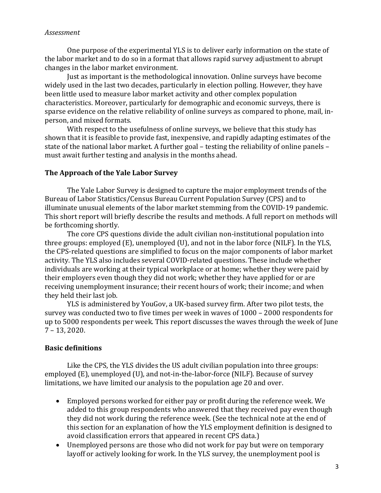### *Assessment*

One purpose of the experimental YLS is to deliver early information on the state of the labor market and to do so in a format that allows rapid survey adjustment to abrupt changes in the labor market environment.

Just as important is the methodological innovation. Online surveys have become widely used in the last two decades, particularly in election polling. However, they have been little used to measure labor market activity and other complex population characteristics. Moreover, particularly for demographic and economic surveys, there is sparse evidence on the relative reliability of online surveys as compared to phone, mail, inperson, and mixed formats.

With respect to the usefulness of online surveys, we believe that this study has shown that it is feasible to provide fast, inexpensive, and rapidly adapting estimates of the state of the national labor market. A further goal – testing the reliability of online panels – must await further testing and analysis in the months ahead.

### **The Approach of the Yale Labor Survey**

The Yale Labor Survey is designed to capture the major employment trends of the Bureau of Labor Statistics/Census Bureau Current Population Survey (CPS) and to illuminate unusual elements of the labor market stemming from the COVID-19 pandemic. This short report will briefly describe the results and methods. A full report on methods will be forthcoming shortly.

The core CPS questions divide the adult civilian non-institutional population into three groups: employed (E), unemployed (U), and not in the labor force (NILF). In the YLS, the CPS-related questions are simplified to focus on the major components of labor market activity. The YLS also includes several COVID-related questions. These include whether individuals are working at their typical workplace or at home; whether they were paid by their employers even though they did not work; whether they have applied for or are receiving unemployment insurance; their recent hours of work; their income; and when they held their last job.

YLS is administered by YouGov, a UK-based survey firm. After two pilot tests, the survey was conducted two to five times per week in waves of 1000 – 2000 respondents for up to 5000 respondents per week. This report discusses the waves through the week of June 7 – 13, 2020.

### **Basic definitions**

Like the CPS, the YLS divides the US adult civilian population into three groups: employed (E), unemployed (U), and not-in-the-labor-force (NILF). Because of survey limitations, we have limited our analysis to the population age 20 and over.

- Employed persons worked for either pay or profit during the reference week. We added to this group respondents who answered that they received pay even though they did not work during the reference week. (See the technical note at the end of this section for an explanation of how the YLS employment definition is designed to avoid classification errors that appeared in recent CPS data.)
- Unemployed persons are those who did not work for pay but were on temporary layoff or actively looking for work. In the YLS survey, the unemployment pool is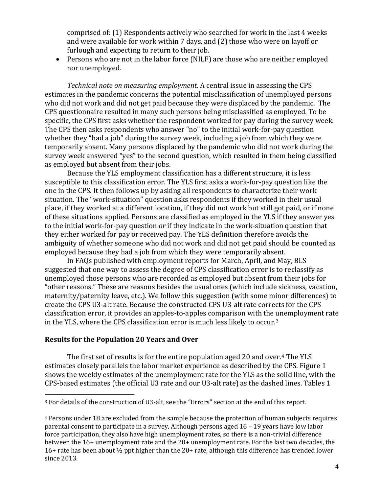comprised of: (1) Respondents actively who searched for work in the last 4 weeks and were available for work within 7 days, and (2) those who were on layoff or furlough and expecting to return to their job.

• Persons who are not in the labor force (NILF) are those who are neither employed nor unemployed.

*Technical note on measuring employment.* A central issue in assessing the CPS estimates in the pandemic concerns the potential misclassification of unemployed persons who did not work and did not get paid because they were displaced by the pandemic. The CPS questionnaire resulted in many such persons being misclassified as employed. To be specific, the CPS first asks whether the respondent worked for pay during the survey week. The CPS then asks respondents who answer "no" to the initial work-for-pay question whether they "had a job" during the survey week, including a job from which they were temporarily absent. Many persons displaced by the pandemic who did not work during the survey week answered "yes" to the second question, which resulted in them being classified as employed but absent from their jobs.

Because the YLS employment classification has a different structure, it is less susceptible to this classification error. The YLS first asks a work-for-pay question like the one in the CPS. It then follows up by asking all respondents to characterize their work situation. The "work-situation" question asks respondents if they worked in their usual place, if they worked at a different location, if they did not work but still got paid, or if none of these situations applied. Persons are classified as employed in the YLS if they answer yes to the initial work-for-pay question *or* if they indicate in the work-situation question that they either worked for pay or received pay. The YLS definition therefore avoids the ambiguity of whether someone who did not work and did not get paid should be counted as employed because they had a job from which they were temporarily absent.

In FAQs published with employment reports for March, April, and May, BLS suggested that one way to assess the degree of CPS classification error is to reclassify as unemployed those persons who are recorded as employed but absent from their jobs for "other reasons." These are reasons besides the usual ones (which include sickness, vacation, maternity/paternity leave, etc.). We follow this suggestion (with some minor differences) to create the CPS U3-alt rate. Because the constructed CPS U3-alt rate corrects for the CPS classification error, it provides an apples-to-apples comparison with the unemployment rate in the YLS, where the CPS classification error is much less likely to occur.[3](#page-4-0)

### **Results for the Population 20 Years and Over**

 $\overline{a}$ 

The first set of results is for the entire population aged 20 and over.<sup>[4](#page-4-1)</sup> The YLS estimates closely parallels the labor market experience as described by the CPS. Figure 1 shows the weekly estimates of the unemployment rate for the YLS as the solid line, with the CPS-based estimates (the official U3 rate and our U3-alt rate) as the dashed lines. Tables 1

<span id="page-4-0"></span><sup>3</sup> For details of the construction of U3-alt, see the "Errors" section at the end of this report.

<span id="page-4-1"></span><sup>4</sup> Persons under 18 are excluded from the sample because the protection of human subjects requires parental consent to participate in a survey. Although persons aged 16 – 19 years have low labor force participation, they also have high unemployment rates, so there is a non-trivial difference between the 16+ unemployment rate and the 20+ unemployment rate. For the last two decades, the 16+ rate has been about ½ ppt higher than the 20+ rate, although this difference has trended lower since 2013.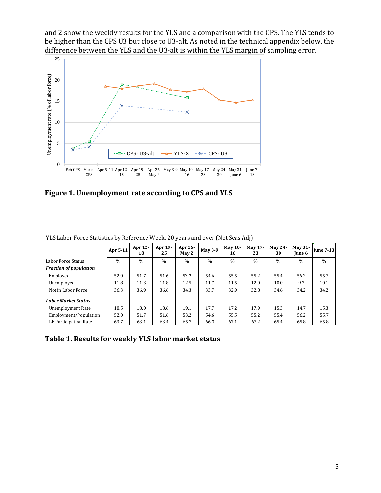and 2 show the weekly results for the YLS and a comparison with the CPS. The YLS tends to be higher than the CPS U3 but close to U3-alt. As noted in the technical appendix below, the difference between the YLS and the U3-alt is within the YLS margin of sampling error.



**Figure 1. Unemployment rate according to CPS and YLS**

|                               | Apr 5-11 | Apr 12-<br>18 | Apr 19-<br>25 | Apr 26-<br>May <sub>2</sub> | <b>May 3-9</b> | <b>May 10-</b><br>16 | <b>May 17-</b><br>23 | May 24-<br>30 | May 31-<br><b>Iune 6</b> | $ $ June 7-13 $ $ |
|-------------------------------|----------|---------------|---------------|-----------------------------|----------------|----------------------|----------------------|---------------|--------------------------|-------------------|
| Labor Force Status            | $\%$     | $\%$          | $\%$          | $\%$                        | $\%$           | $\%$                 | $\%$                 | $\%$          | $\%$                     | $\%$              |
| <b>Fraction of population</b> |          |               |               |                             |                |                      |                      |               |                          |                   |
| Employed                      | 52.0     | 51.7          | 51.6          | 53.2                        | 54.6           | 55.5                 | 55.2                 | 55.4          | 56.2                     | 55.7              |
| Unemployed                    | 11.8     | 11.3          | 11.8          | 12.5                        | 11.7           | 11.5                 | 12.0                 | 10.0          | 9.7                      | 10.1              |
| Not in Labor Force            | 36.3     | 36.9          | 36.6          | 34.3                        | 33.7           | 32.9                 | 32.8                 | 34.6          | 34.2                     | 34.2              |
| <b>Labor Market Status</b>    |          |               |               |                             |                |                      |                      |               |                          |                   |
| Unemployment Rate             | 18.5     | 18.0          | 18.6          | 19.1                        | 17.7           | 17.2                 | 17.9                 | 15.3          | 14.7                     | 15.3              |
| Employment/Population         | 52.0     | 51.7          | 51.6          | 53.2                        | 54.6           | 55.5                 | 55.2                 | 55.4          | 56.2                     | 55.7              |
| LF Participation Rate         | 63.7     | 63.1          | 63.4          | 65.7                        | 66.3           | 67.1                 | 67.2                 | 65.4          | 65.8                     | 65.8              |

YLS Labor Force Statistics by Reference Week, 20 years and over (Not Seas Adj)

### **Table 1. Results for weekly YLS labor market status**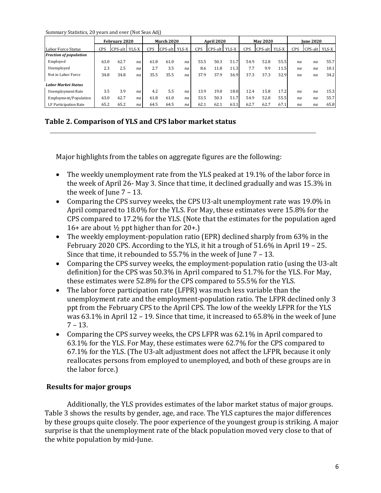Summary Statistics, 20 years and over (Not Seas Adj)

|                               | February 2020 |         |       | <b>March 2020</b> |               |    | <b>April 2020</b> |            |       | <b>May 2020</b> |         |       | <b>Iune 2020</b> |               |      |
|-------------------------------|---------------|---------|-------|-------------------|---------------|----|-------------------|------------|-------|-----------------|---------|-------|------------------|---------------|------|
| Labor Force Status            | <b>CPS</b>    | CPS-alt | YLS-X | CPS               | CPS-alt YLS-X |    | CPS               | $CPS$ -alt | YLS-X | <b>CPS</b>      | CPS-alt | YLS-X | CPS              | CPS-alt YLS-X |      |
| <b>Fraction of population</b> |               |         |       |                   |               |    |                   |            |       |                 |         |       |                  |               |      |
| Employed                      | 63.0          | 62.7    | na    | 61.8              | 61.0          | na | 53.5              | 50.3       | 51.7  | 54.9            | 52.8    | 55.5  | na               | na            | 55.7 |
| Unemployed                    | 2.3           | 2.5     | na    | 2.7               | 3.5           | na | 8.6               | 11.8       | 11.3  | 7.7             | 9.9     | 11.5  | na               | na            | 10.1 |
| Not in Labor Force            | 34.8          | 34.8    | na    | 35.5              | 35.5          | na | 37.9              | 37.9       | 36.9  | 37.3            | 37.3    | 32.9  | na               | na            | 34.2 |
| <b>Labor Market Status</b>    |               |         |       |                   |               |    |                   |            |       |                 |         |       |                  |               |      |
| <b>Unemployment Rate</b>      | 3.5           | 3.9     | na    | 4.2               | 5.5           | na | 13.9              | 19.0       | 18.0  | 12.4            | 15.8    | 17.2  | na               | na            | 15.3 |
| Employment/Population         | 63.0          | 62.7    | na    | 61.8              | 61.0          | na | 53.5              | 50.3       | 51.7  | 54.9            | 52.8    | 55.5  | na               | na            | 55.7 |
| LF Participation Rate         | 65.2          | 65.2    | na    | 64.5              | 64.5          | na | 62.1              | 62.1       | 63.1  | 62.7            | 62.7    | 67.1  | na               | na            | 65.8 |

### **Table 2. Comparison of YLS and CPS labor market status**

Major highlights from the tables on aggregate figures are the following:

- The weekly unemployment rate from the YLS peaked at 19.1% of the labor force in the week of April 26- May 3. Since that time, it declined gradually and was 15.3% in the week of June  $7 - 13$ .
- Comparing the CPS survey weeks, the CPS U3-alt unemployment rate was 19.0% in April compared to 18.0% for the YLS. For May, these estimates were 15.8% for the CPS compared to 17.2% for the YLS. (Note that the estimates for the population aged 16+ are about  $\frac{1}{2}$  ppt higher than for 20+.)
- The weekly employment-population ratio (EPR) declined sharply from 63% in the February 2020 CPS. According to the YLS, it hit a trough of 51.6% in April 19 – 25. Since that time, it rebounded to 55.7% in the week of June 7 – 13.
- Comparing the CPS survey weeks, the employment-population ratio (using the U3-alt definition) for the CPS was 50.3% in April compared to 51.7% for the YLS. For May, these estimates were 52.8% for the CPS compared to 55.5% for the YLS.
- The labor force participation rate (LFPR) was much less variable than the unemployment rate and the employment-population ratio. The LFPR declined only 3 ppt from the February CPS to the April CPS. The low of the weekly LFPR for the YLS was 63.1% in April 12 – 19. Since that time, it increased to 65.8% in the week of June  $7 - 13.$
- Comparing the CPS survey weeks, the CPS LFPR was 62.1% in April compared to 63.1% for the YLS. For May, these estimates were 62.7% for the CPS compared to 67.1% for the YLS. (The U3-alt adjustment does not affect the LFPR, because it only reallocates persons from employed to unemployed, and both of these groups are in the labor force.)

### **Results for major groups**

Additionally, the YLS provides estimates of the labor market status of major groups. Table 3 shows the results by gender, age, and race. The YLS captures the major differences by these groups quite closely. The poor experience of the youngest group is striking. A major surprise is that the unemployment rate of the black population moved very close to that of the white population by mid-June.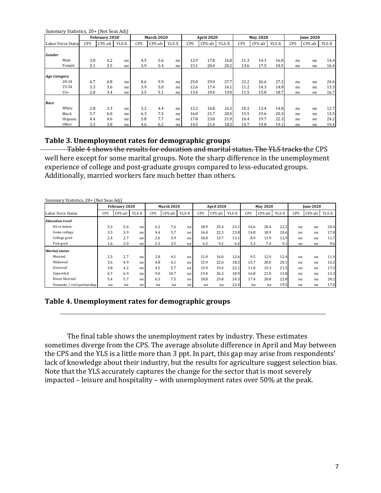|                     | Summary Statistics, 20+ (Not Seas Adj) |               |         |       |                   |         |       |                   |         |       |            |                 |       |                  |         |       |
|---------------------|----------------------------------------|---------------|---------|-------|-------------------|---------|-------|-------------------|---------|-------|------------|-----------------|-------|------------------|---------|-------|
|                     |                                        | February 2020 |         |       | <b>March 2020</b> |         |       | <b>April 2020</b> |         |       |            | <b>May 2020</b> |       | <b>Iune 2020</b> |         |       |
|                     | Labor Force Status                     | <b>CPS</b>    | CPS-alt | YLS-X | <b>CPS</b>        | CPS-alt | YLS-X | <b>CPS</b>        | CPS-alt | YLS-X | <b>CPS</b> | CPS-alt         | YLS-X | <b>CPS</b>       | CPS-alt | YLS-X |
|                     |                                        |               |         |       |                   |         |       |                   |         |       |            |                 |       |                  |         |       |
| Gender              |                                        |               |         |       |                   |         |       |                   |         |       |            |                 |       |                  |         |       |
|                     | Male                                   | 3.8           | 4.2     | na    | 4.5               | 5.6     | na    | 12.9              | 17.8    | 16.0  | 11.3       | 14.3            | 16.0  | na               | na      | 14.4  |
|                     | Female                                 | 3.1           | 3.5     | na    | 3.9               | 5.4     | na    | 15.1              | 20.4    | 20.2  | 13.6       | 17.5            | 18.5  | na               | na      | 16.4  |
|                     |                                        |               |         |       |                   |         |       |                   |         |       |            |                 |       |                  |         |       |
| <b>Age Category</b> |                                        |               |         |       |                   |         |       |                   |         |       |            |                 |       |                  |         |       |
|                     | $20 - 24$                              | 6.7           | 6.8     | na    | 8.6               | 9.9     | na    | 25.0              | 29.9    | 27.7  | 23.2       | 26.6            | 27.2  | na               | na      | 24.6  |
|                     | 25-54                                  | 3.3           | 3.6     | na    | 3.9               | 5.0     | na    | 12.6              | 17.4    | 16.1  | 11.2       | 14.3            | 14.8  | na               | na      | 13.3  |
|                     | $55+$                                  | 2.8           | 3.4     | na    | 3.5               | 5.1     | na    | 13.4              | 19.4    | 19.0  | 11.5       | 15.8            | 18.7  | na               | na      | 16.7  |
| Race                |                                        |               |         |       |                   |         |       |                   |         |       |            |                 |       |                  |         |       |
|                     | White                                  | 2.8           | 3.3     | na    | 3.2               | 4.4     | na    | 12.3              | 16.8    | 16.3  | 10.2       | 13.4            | 14.8  | na               | na      | 12.7  |
|                     | Black                                  | 5.7           | 6.0     | na    | 6.3               | 7.5     | na    | 16.0              | 21.7    | 20.5  | 15.9       | 19.6            | 20.3  | na               | na      | 13.5  |
|                     | Hispanic                               | 4.4           | 4.6     | na    | 5.8               | 7.7     | na    | 17.8              | 23.8    | 21.9  | 16.4       | 19.7            | 22.3  | na               | na      | 24.2  |
|                     | Other                                  | 3.3           | 3.8     | na    | 4.6               | 6.2     | na    | 14.5              | 21.4    | 18.3  | 14.7       | 19.8            | 19.1  | na               | na      | 19.4  |

### **Table 3. Unemployment rates for demographic groups**

Table 4 shows the results for education and marital status. The YLS tracks the CPS well here except for some marital groups. Note the sharp difference in the unemployment experience of college and post-graduate groups compared to less-educated groups. Additionally, married workers fare much better than others.

|                              | February 2020 |         |       |            | <b>March 2020</b> |       |            | <b>April 2020</b> |       |      | <b>May 2020</b> |       |            | <b>Iune 2020</b> |       |  |
|------------------------------|---------------|---------|-------|------------|-------------------|-------|------------|-------------------|-------|------|-----------------|-------|------------|------------------|-------|--|
| Labor Force Status           | <b>CPS</b>    | CPS-alt | YLS-X | <b>CPS</b> | CPS-alt           | YLS-X | <b>CPS</b> | CPS-alt           | YLS-X | CPS  | CPS-alt         | YLS-X | <b>CPS</b> | CPS-alt          | YLS-X |  |
| <b>Education Level</b>       |               |         |       |            |                   |       |            |                   |       |      |                 |       |            |                  |       |  |
| HS or below                  | 5.3           | 5.6     | na    | 6.2        | 7.6               | na    | 18.9       | 25.4              | 23.1  | 16.6 | 20.4            | 22.2  | na         | na               | 20.4  |  |
| Some college                 | 3.5           | 3.9     | na    | 4.4        | 5.7               | na    | 16.4       | 22.3              | 23.8  | 14.8 | 18.9            | 20.6  | na         | na               | 17.0  |  |
| College grad                 | 2.4           | 2.7     | na    | 2.6        | 3.9               | na    | 10.0       | 13.7              | 13.1  | 8.9  | 11.9            | 12.9  | na         | na               | 11.7  |  |
| Post grad                    | 1.6           | 2.0     | na    | 2.3        | 3.5               | na    | 6.3        | 9.2               | 6.4   | 5.3  | 7.4             | 9.1   | na         | na               | 9.6   |  |
| <b>Marital status</b>        |               |         |       |            |                   |       |            |                   |       |      |                 |       |            |                  |       |  |
| Married                      | 2.3           | 2.7     | na    | 2.8        | 4.1               | na    | 11.0       | 16.0              | 12.6  | 9.5  | 12.9            | 12.4  | na         | na               | 11.9  |  |
| Widowed                      | 3.6           | 4.9     | na    | 4.8        | 6.1               | na    | 15.9       | 22.6              | 18.5  | 15.7 | 20.0            | 20.1  | na         | na               | 16.2  |  |
| Divorced                     | 3.8           | 4.2     | na    | 4.5        | 5.7               | na    | 13.9       | 19.4              | 22.1  | 11.8 | 15.3            | 21.5  | na         | na               | 17.3  |  |
| Separated                    | 6.7           | 6.9     | na    | 9.0        | 10.7              | na    | 19.4       | 26.3              | 18.9  | 16.8 | 21.0            | 15.8  | na         | na               | 13.3  |  |
| Never Married                | 5.4           | 5.7     | na    | 6.3        | 7.5               | na    | 18.8       | 23.8              | 24.3  | 17.4 | 20.8            | 22.8  | na         | na               | 20.2  |  |
| Domestic / civil partnership | na            | na      | na    | na         | na                | na    | na         | na                | 22.4  | na   | na              | 19.5  | na         | na               | 17.0  |  |

Summary Statistics, 20+ (Not Seas Adj)

### **Table 4. Unemployment rates for demographic groups**

The final table shows the unemployment rates by industry. These estimates sometimes diverge from the CPS. The average absolute difference in April and May between the CPS and the YLS is a little more than 3 ppt. In part, this gap may arise from respondents' lack of knowledge about their industry, but the results for agriculture suggest selection bias. Note that the YLS accurately captures the change for the sector that is most severely impacted – leisure and hospitality – with unemployment rates over 50% at the peak.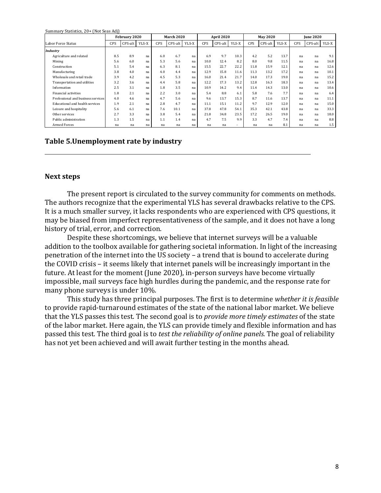| Summary Statistics, 20+ (Not Seas Adj) |               |         |       |     |            |       |            |            |       |      |                 |       |            |                  |       |  |
|----------------------------------------|---------------|---------|-------|-----|------------|-------|------------|------------|-------|------|-----------------|-------|------------|------------------|-------|--|
|                                        | February 2020 |         |       |     | March 2020 |       |            | April 2020 |       |      | <b>May 2020</b> |       |            | <b>Iune 2020</b> |       |  |
| Labor Force Status                     | CPS           | CPS-alt | YLS-X | CPS | CPS-alt    | YLS-X | <b>CPS</b> | $CPS-alt$  | YLS-X | CPS  | CPS-alt         | YLS-X | <b>CPS</b> | CPS-alt          | YLS-X |  |
| Industry                               |               |         |       |     |            |       |            |            |       |      |                 |       |            |                  |       |  |
| Agriculture and related                | 8.5           | 8.9     | na    | 6.0 | 6.7        | na    | 6.9        | 9.7        | 10.3  | 4.2  | 5.2             | 13.7  | na         | na               | 9.1   |  |
| Mining                                 | 5.6           | 6.0     | na    | 5.3 | 5.6        | na    | 10.0       | 12.4       | 8.2   | 8.0  | 9.8             | 11.5  | na         | na               | 16.8  |  |
| Construction                           | 5.1           | 5.4     | na    | 6.3 | 8.1        | na    | 15.5       | 22.7       | 22.2  | 11.8 | 15.9            | 12.1  | na         | na               | 12.6  |  |
| Manufacturing                          | 3.8           | 4.0     | na    | 4.0 | 4.4        | na    | 12.9       | 15.8       | 11.6  | 11.3 | 13.2            | 17.2  | na         | na               | 10.1  |  |
| Wholesale and retail trade             | 3.9           | 4.2     | na    | 4.5 | 5.3        | na    | 16.0       | 21.4       | 21.7  | 14.0 | 17.3            | 19.0  | na         | na               | 15.2  |  |
| Transportation and utilities           | 3.2           | 3.6     | na    | 4.4 | 5.8        | na    | 12.2       | 17.3       | 13.2  | 12.8 | 16.3            | 18.3  | na         | na               | 13.4  |  |
| Information                            | 2.5           | 3.1     | na    | 1.8 | 3.5        | na    | 10.9       | 14.2       | 9.4   | 11.4 | 14.3            | 13.0  | na         | na               | 10.6  |  |
| Financial activities                   | 1.8           | 2.1     | na    | 2.2 | 3.0        | na    | 5.4        | 8.8        | 6.1   | 5.8  | 7.6             | 7.7   | na         | na               | 6.4   |  |
| Professional and business services     | 4.0           | 4.6     | na    | 4.7 | 5.6        | na    | 9.6        | 13.7       | 15.3  | 8.7  | 11.6            | 13.7  | na         | na               | 11.1  |  |
| Educational and health services        | 1.9           | 2.1     | na    | 2.8 | 4.7        | na    | 11.1       | 15.1       | 11.2  | 9.7  | 12.9            | 12.0  | na         | na               | 15.0  |  |
| Leisure and hospitality                | 5.6           | 6.1     | na    | 7.6 | 10.1       | na    | 37.8       | 47.8       | 54.1  | 35.3 | 42.1            | 43.8  | na         | na               | 33.3  |  |
| Other services                         | 2.7           | 3.3     | na    | 3.8 | 5.4        | na    | 21.8       | 34.8       | 23.5  | 17.2 | 26.5            | 19.0  | na         | na               | 18.0  |  |
| Public administration                  | 1.3           | 1.5     | na    | 1.1 | 1.4        | na    | 4.7        | 7.5        | 9.9   | 3.3  | 4.7             | 7.4   | na         | na               | 8.8   |  |
| <b>Armed Forces</b>                    | na            | na      | na    | na  | na         | na    | na         | na         | ۰     | na   | na              | 8.1   | na         | na               | 1.5   |  |

### **Table 5.Unemployment rate by industry**

#### **Next steps**

The present report is circulated to the survey community for comments on methods. The authors recognize that the experimental YLS has several drawbacks relative to the CPS. It is a much smaller survey, it lacks respondents who are experienced with CPS questions, it may be biased from imperfect representativeness of the sample, and it does not have a long history of trial, error, and correction.

Despite these shortcomings, we believe that internet surveys will be a valuable addition to the toolbox available for gathering societal information. In light of the increasing penetration of the internet into the US society – a trend that is bound to accelerate during the COVID crisis – it seems likely that internet panels will be increasingly important in the future. At least for the moment (June 2020), in-person surveys have become virtually impossible, mail surveys face high hurdles during the pandemic, and the response rate for many phone surveys is under 10%.

This study has three principal purposes. The first is to determine *whether it is feasible* to provide rapid-turnaround estimates of the state of the national labor market. We believe that the YLS passes this test. The second goal is to *provide more timely estimates* of the state of the labor market. Here again, the YLS can provide timely and flexible information and has passed this test. The third goal is to *test the reliability of online panels.* The goal of reliability has not yet been achieved and will await further testing in the months ahead.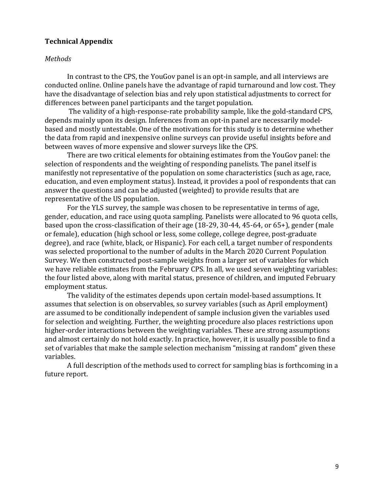### **Technical Appendix**

#### *Methods*

In contrast to the CPS, the YouGov panel is an opt-in sample, and all interviews are conducted online. Online panels have the advantage of rapid turnaround and low cost. They have the disadvantage of selection bias and rely upon statistical adjustments to correct for differences between panel participants and the target population.

The validity of a high-response-rate probability sample, like the gold-standard CPS, depends mainly upon its design. Inferences from an opt-in panel are necessarily modelbased and mostly untestable. One of the motivations for this study is to determine whether the data from rapid and inexpensive online surveys can provide useful insights before and between waves of more expensive and slower surveys like the CPS.

There are two critical elements for obtaining estimates from the YouGov panel: the selection of respondents and the weighting of responding panelists. The panel itself is manifestly not representative of the population on some characteristics (such as age, race, education, and even employment status). Instead, it provides a pool of respondents that can answer the questions and can be adjusted (weighted) to provide results that are representative of the US population.

For the YLS survey, the sample was chosen to be representative in terms of age, gender, education, and race using quota sampling. Panelists were allocated to 96 quota cells, based upon the cross-classification of their age (18-29, 30-44, 45-64, or 65+), gender (male or female), education (high school or less, some college, college degree, post-graduate degree), and race (white, black, or Hispanic). For each cell, a target number of respondents was selected proportional to the number of adults in the March 2020 Current Population Survey. We then constructed post-sample weights from a larger set of variables for which we have reliable estimates from the February CPS. In all, we used seven weighting variables: the four listed above, along with marital status, presence of children, and imputed February employment status.

The validity of the estimates depends upon certain model-based assumptions. It assumes that selection is on observables, so survey variables (such as April employment) are assumed to be conditionally independent of sample inclusion given the variables used for selection and weighting. Further, the weighting procedure also places restrictions upon higher-order interactions between the weighting variables. These are strong assumptions and almost certainly do not hold exactly. In practice, however, it is usually possible to find a set of variables that make the sample selection mechanism "missing at random" given these variables.

A full description of the methods used to correct for sampling bias is forthcoming in a future report.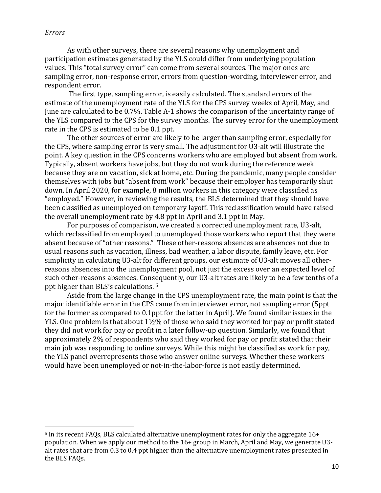### *Errors*

l

As with other surveys, there are several reasons why unemployment and participation estimates generated by the YLS could differ from underlying population values. This "total survey error" can come from several sources. The major ones are sampling error, non-response error, errors from question-wording, interviewer error, and respondent error.

The first type, sampling error, is easily calculated. The standard errors of the estimate of the unemployment rate of the YLS for the CPS survey weeks of April, May, and June are calculated to be 0.7%. Table A-1 shows the comparison of the uncertainty range of the YLS compared to the CPS for the survey months. The survey error for the unemployment rate in the CPS is estimated to be 0.1 ppt.

The other sources of error are likely to be larger than sampling error, especially for the CPS, where sampling error is very small. The adjustment for U3-alt will illustrate the point. A key question in the CPS concerns workers who are employed but absent from work. Typically, absent workers have jobs, but they do not work during the reference week because they are on vacation, sick at home, etc. During the pandemic, many people consider themselves with jobs but "absent from work" because their employer has temporarily shut down. In April 2020, for example, 8 million workers in this category were classified as "employed." However, in reviewing the results, the BLS determined that they should have been classified as unemployed on temporary layoff. This reclassification would have raised the overall unemployment rate by 4.8 ppt in April and 3.1 ppt in May.

For purposes of comparison, we created a corrected unemployment rate, U3-alt, which reclassified from employed to unemployed those workers who report that they were absent because of "other reasons." These other-reasons absences are absences not due to usual reasons such as vacation, illness, bad weather, a labor dispute, family leave, etc. For simplicity in calculating U3-alt for different groups, our estimate of U3-alt moves all otherreasons absences into the unemployment pool, not just the excess over an expected level of such other-reasons absences. Cons[e](#page-10-0)quently, our U3-alt rates are likely to be a few tenths of a ppt higher than BLS's calculations. <sup>5</sup>

Aside from the large change in the CPS unemployment rate, the main point is that the major identifiable error in the CPS came from interviewer error, not sampling error (5ppt for the former as compared to 0.1ppt for the latter in April). We found similar issues in the YLS. One problem is that about 1½% of those who said they worked for pay or profit stated they did not work for pay or profit in a later follow-up question. Similarly, we found that approximately 2% of respondents who said they worked for pay or profit stated that their main job was responding to online surveys. While this might be classified as work for pay, the YLS panel overrepresents those who answer online surveys. Whether these workers would have been unemployed or not-in-the-labor-force is not easily determined.

<span id="page-10-0"></span><sup>5</sup> In its recent FAQs, BLS calculated alternative unemployment rates for only the aggregate 16+ population. When we apply our method to the 16+ group in March, April and May, we generate U3 alt rates that are from 0.3 to 0.4 ppt higher than the alternative unemployment rates presented in the BLS FAQs.